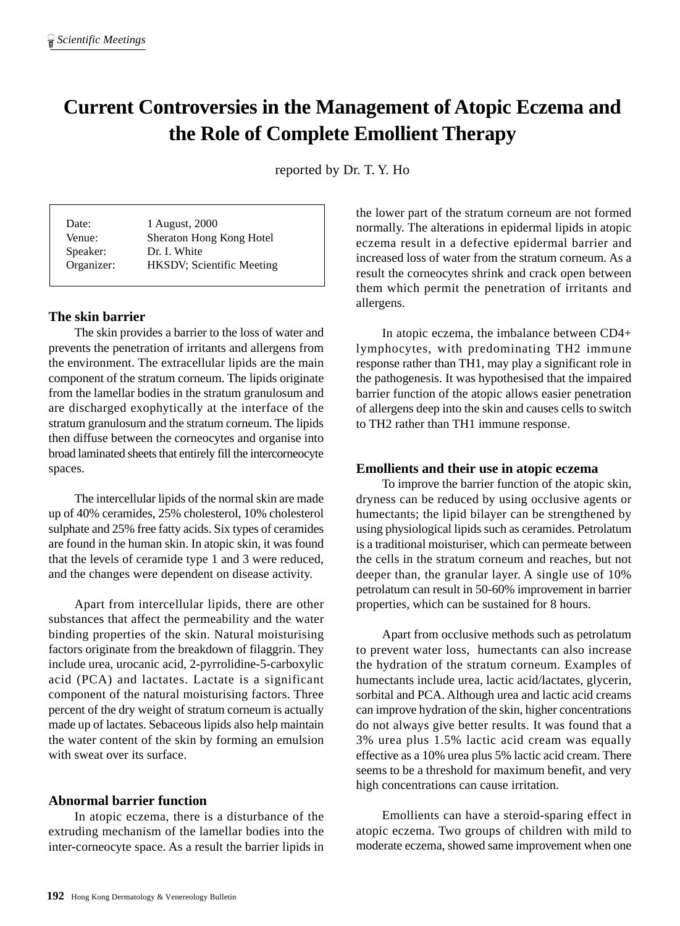# **Current Controversies in the Management of Atopic Eczema and the Role of Complete Emollient Therapy**

reported by Dr. T. Y. Ho

| Date:      | 1 August, 2000            |
|------------|---------------------------|
| Venue:     | Sheraton Hong Kong Hotel  |
| Speaker:   | Dr. I. White              |
| Organizer: | HKSDV; Scientific Meeting |

## **The skin barrier**

The skin provides a barrier to the loss of water and prevents the penetration of irritants and allergens from the environment. The extracellular lipids are the main component of the stratum corneum. The lipids originate from the lamellar bodies in the stratum granulosum and are discharged exophytically at the interface of the stratum granulosum and the stratum corneum. The lipids then diffuse between the corneocytes and organise into broad laminated sheets that entirely fill the intercorneocyte spaces.

The intercellular lipids of the normal skin are made up of 40% ceramides, 25% cholesterol, 10% cholesterol sulphate and 25% free fatty acids. Six types of ceramides are found in the human skin. In atopic skin, it was found that the levels of ceramide type 1 and 3 were reduced, and the changes were dependent on disease activity.

Apart from intercellular lipids, there are other substances that affect the permeability and the water binding properties of the skin. Natural moisturising factors originate from the breakdown of filaggrin. They include urea, urocanic acid, 2-pyrrolidine-5-carboxylic acid (PCA) and lactates. Lactate is a significant component of the natural moisturising factors. Three percent of the dry weight of stratum corneum is actually made up of lactates. Sebaceous lipids also help maintain the water content of the skin by forming an emulsion with sweat over its surface.

## **Abnormal barrier function**

In atopic eczema, there is a disturbance of the extruding mechanism of the lamellar bodies into the inter-corneocyte space. As a result the barrier lipids in

the lower part of the stratum corneum are not formed normally. The alterations in epidermal lipids in atopic eczema result in a defective epidermal barrier and increased loss of water from the stratum corneum. As a result the corneocytes shrink and crack open between them which permit the penetration of irritants and allergens.

In atopic eczema, the imbalance between CD4+ lymphocytes, with predominating TH2 immune response rather than TH1, may play a significant role in the pathogenesis. It was hypothesised that the impaired barrier function of the atopic allows easier penetration of allergens deep into the skin and causes cells to switch to TH2 rather than TH1 immune response.

## **Emollients and their use in atopic eczema**

To improve the barrier function of the atopic skin, dryness can be reduced by using occlusive agents or humectants; the lipid bilayer can be strengthened by using physiological lipids such as ceramides. Petrolatum is a traditional moisturiser, which can permeate between the cells in the stratum corneum and reaches, but not deeper than, the granular layer. A single use of 10% petrolatum can result in 50-60% improvement in barrier properties, which can be sustained for 8 hours.

Apart from occlusive methods such as petrolatum to prevent water loss, humectants can also increase the hydration of the stratum corneum. Examples of humectants include urea, lactic acid/lactates, glycerin, sorbital and PCA. Although urea and lactic acid creams can improve hydration of the skin, higher concentrations do not always give better results. It was found that a 3% urea plus 1.5% lactic acid cream was equally effective as a 10% urea plus 5% lactic acid cream. There seems to be a threshold for maximum benefit, and very high concentrations can cause irritation.

Emollients can have a steroid-sparing effect in atopic eczema. Two groups of children with mild to moderate eczema, showed same improvement when one